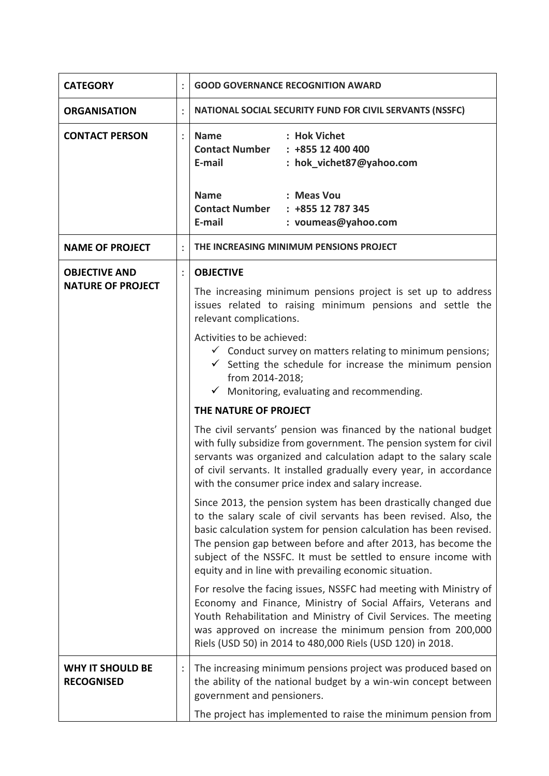| <b>CATEGORY</b>                                  | <b>GOOD GOVERNANCE RECOGNITION AWARD</b>                                                                                                                                                                                                                                                                                                                                                                                                                                                                                                                                                                                                                                                                                                                                                                                                                                                                                                                                                                                                                                                                                                                                                                                                                                                                                                                                                                                                                                                                                                               |
|--------------------------------------------------|--------------------------------------------------------------------------------------------------------------------------------------------------------------------------------------------------------------------------------------------------------------------------------------------------------------------------------------------------------------------------------------------------------------------------------------------------------------------------------------------------------------------------------------------------------------------------------------------------------------------------------------------------------------------------------------------------------------------------------------------------------------------------------------------------------------------------------------------------------------------------------------------------------------------------------------------------------------------------------------------------------------------------------------------------------------------------------------------------------------------------------------------------------------------------------------------------------------------------------------------------------------------------------------------------------------------------------------------------------------------------------------------------------------------------------------------------------------------------------------------------------------------------------------------------------|
| <b>ORGANISATION</b>                              | NATIONAL SOCIAL SECURITY FUND FOR CIVIL SERVANTS (NSSFC)                                                                                                                                                                                                                                                                                                                                                                                                                                                                                                                                                                                                                                                                                                                                                                                                                                                                                                                                                                                                                                                                                                                                                                                                                                                                                                                                                                                                                                                                                               |
| <b>CONTACT PERSON</b>                            | : Hok Vichet<br><b>Name</b><br><b>Contact Number</b><br>$: +85512400400$<br>E-mail<br>: hok_vichet87@yahoo.com                                                                                                                                                                                                                                                                                                                                                                                                                                                                                                                                                                                                                                                                                                                                                                                                                                                                                                                                                                                                                                                                                                                                                                                                                                                                                                                                                                                                                                         |
|                                                  | <b>Name</b><br>: Meas Vou<br>Contact Number : +855 12 787 345<br>E-mail<br>: voumeas@yahoo.com                                                                                                                                                                                                                                                                                                                                                                                                                                                                                                                                                                                                                                                                                                                                                                                                                                                                                                                                                                                                                                                                                                                                                                                                                                                                                                                                                                                                                                                         |
| <b>NAME OF PROJECT</b>                           | THE INCREASING MINIMUM PENSIONS PROJECT                                                                                                                                                                                                                                                                                                                                                                                                                                                                                                                                                                                                                                                                                                                                                                                                                                                                                                                                                                                                                                                                                                                                                                                                                                                                                                                                                                                                                                                                                                                |
| <b>OBJECTIVE AND</b><br><b>NATURE OF PROJECT</b> | <b>OBJECTIVE</b><br>The increasing minimum pensions project is set up to address<br>issues related to raising minimum pensions and settle the<br>relevant complications.<br>Activities to be achieved:<br>$\checkmark$ Conduct survey on matters relating to minimum pensions;<br>$\checkmark$ Setting the schedule for increase the minimum pension<br>from 2014-2018;<br>Monitoring, evaluating and recommending.<br>$\checkmark$<br>THE NATURE OF PROJECT<br>The civil servants' pension was financed by the national budget<br>with fully subsidize from government. The pension system for civil<br>servants was organized and calculation adapt to the salary scale<br>of civil servants. It installed gradually every year, in accordance<br>with the consumer price index and salary increase.<br>Since 2013, the pension system has been drastically changed due<br>to the salary scale of civil servants has been revised. Also, the<br>basic calculation system for pension calculation has been revised.<br>The pension gap between before and after 2013, has become the<br>subject of the NSSFC. It must be settled to ensure income with<br>equity and in line with prevailing economic situation.<br>For resolve the facing issues, NSSFC had meeting with Ministry of<br>Economy and Finance, Ministry of Social Affairs, Veterans and<br>Youth Rehabilitation and Ministry of Civil Services. The meeting<br>was approved on increase the minimum pension from 200,000<br>Riels (USD 50) in 2014 to 480,000 Riels (USD 120) in 2018. |
| <b>WHY IT SHOULD BE</b><br><b>RECOGNISED</b>     | The increasing minimum pensions project was produced based on<br>the ability of the national budget by a win-win concept between<br>government and pensioners.<br>The project has implemented to raise the minimum pension from                                                                                                                                                                                                                                                                                                                                                                                                                                                                                                                                                                                                                                                                                                                                                                                                                                                                                                                                                                                                                                                                                                                                                                                                                                                                                                                        |